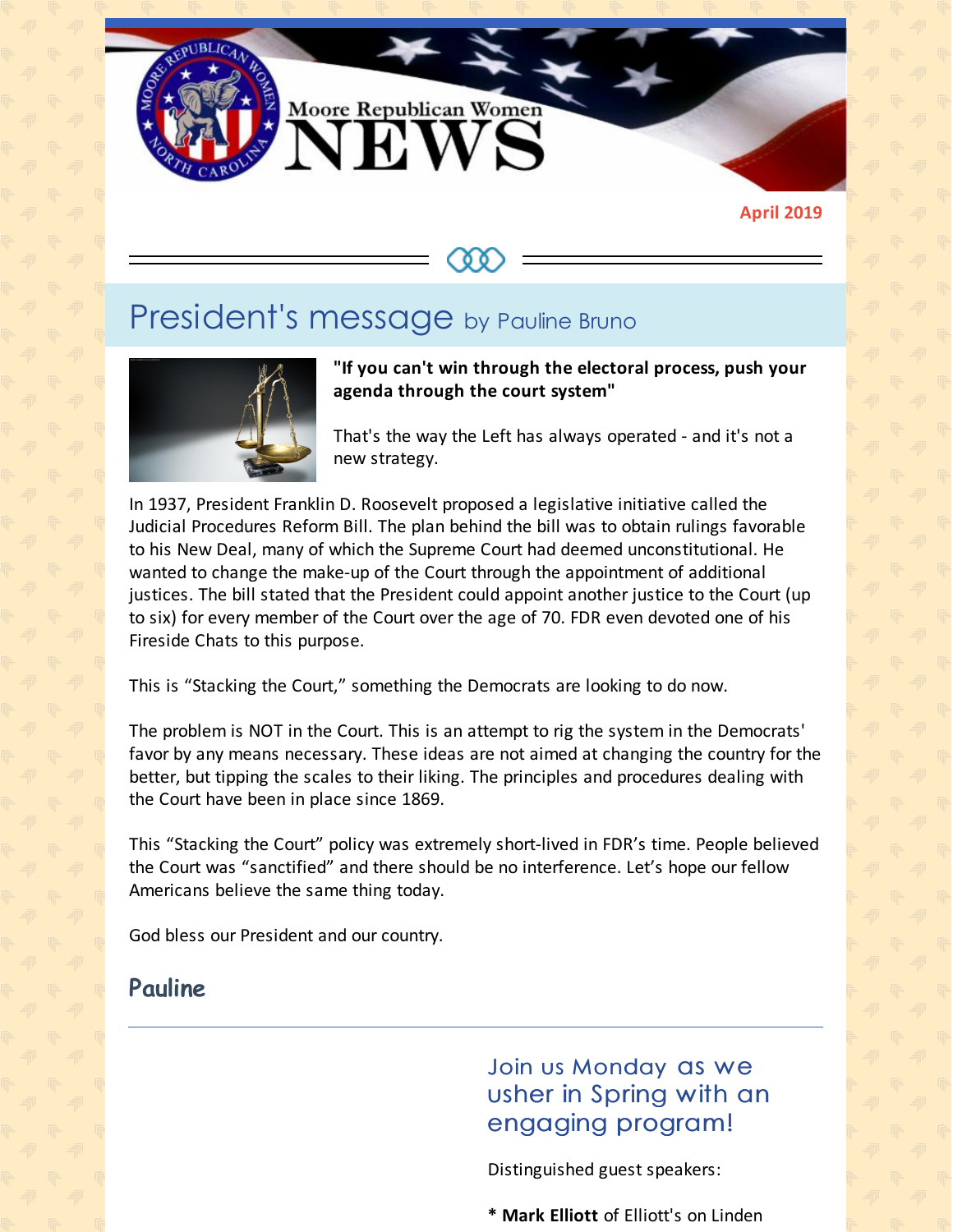

**April 2019**

# President's message by Pauline Bruno



**"If you can't win through the electoral process, push your agenda through the court system"**

That's the way the Left has always operated - and it's not a new strategy.

In 1937, President Franklin D. Roosevelt proposed a legislative initiative called the Judicial Procedures Reform Bill. The plan behind the bill was to obtain rulings favorable to his New Deal, many of which the Supreme Court had deemed unconstitutional. He wanted to change the make-up of the Court through the appointment of additional justices. The bill stated that the President could appoint another justice to the Court (up to six) for every member of the Court over the age of 70. FDR even devoted one of his Fireside Chats to this purpose.

This is "Stacking the Court," something the Democrats are looking to do now.

The problem is NOT in the Court. This is an attempt to rig the system in the Democrats' favor by any means necessary. These ideas are not aimed at changing the country for the better, but tipping the scales to their liking. The principles and procedures dealing with the Court have been in place since 1869.

This "Stacking the Court" policy was extremely short-lived in FDR's time. People believed the Court was "sanctified" and there should be no interference. Let's hope our fellow Americans believe the same thing today.

God bless our President and our country.

#### **Pauline**

Join us Monday as we usher in Spring with an engaging program!

Distinguished guest speakers:

**\* Mark Elliott** of Elliott's on Linden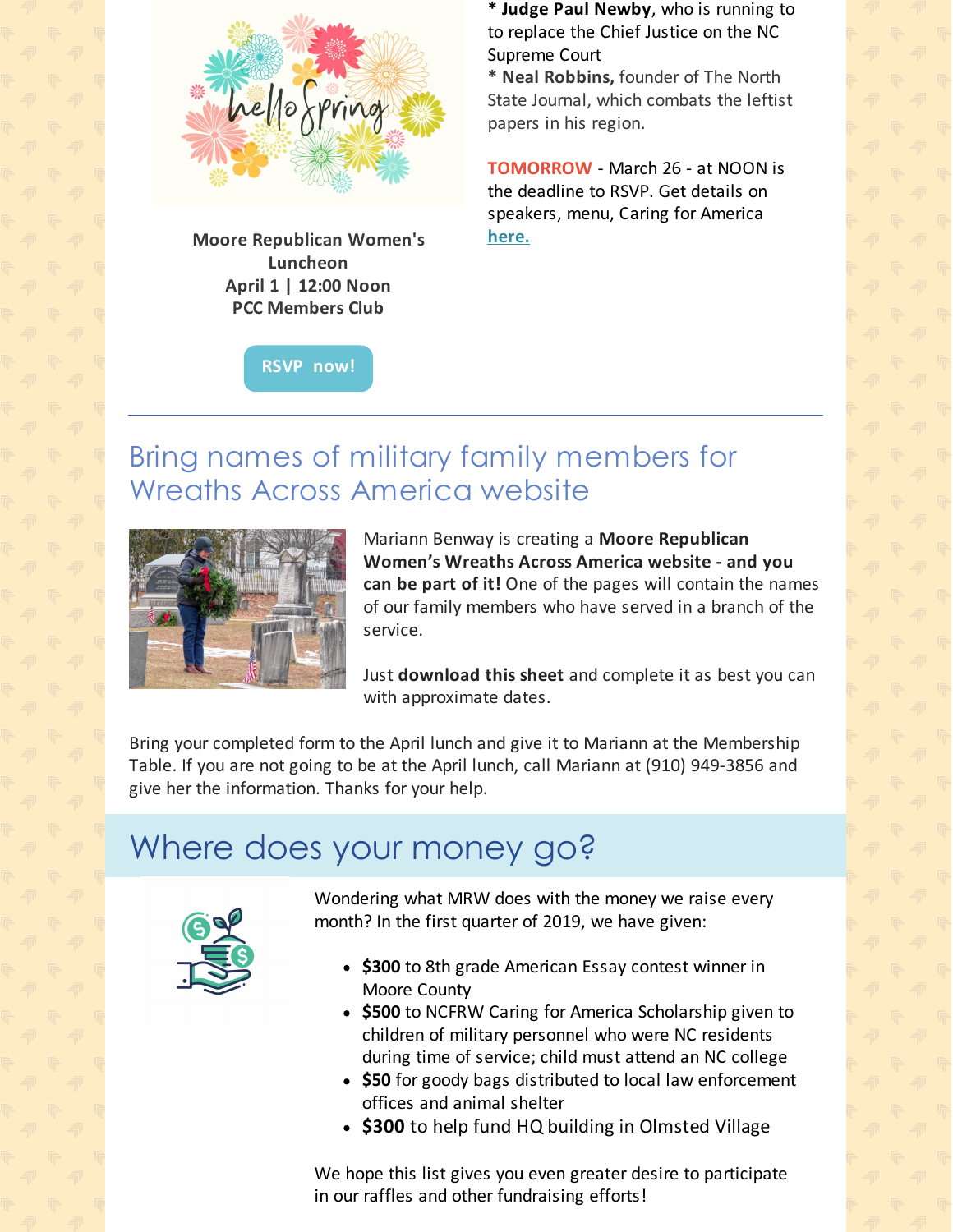

**Moore Republican Women's Luncheon April 1 | 12:00 Noon PCC Members Club**

**RSVP [now!](https://www.mrwnc.com/luncheon-reservation.html)**

**\* Judge Paul Newby**, who is running to to replace the Chief Justice on the NC Supreme Court

**\* Neal Robbins,** founder of The North State Journal, which combats the leftist papers in his region.

**TOMORROW** - March 26 - at NOON is the deadline to RSVP. Get details on speakers, menu, Caring for America **[here](https://files.constantcontact.com/30571cb6701/91daa57c-08f9-4602-bdaf-3cd1da9c9eaf.pdf)[.](https://files.constantcontact.com/30571cb6701/348b18a5-97f3-47d3-bb23-7273223bc4fc.pdf)**

### Bring names of military family members for Wreaths Across America website



Mariann Benway is creating a **Moore Republican Women's Wreaths Across America website - and you can be part of it!** One of the pages will contain the names of our family members who have served in a branch of the service.

Just **[download](https://files.constantcontact.com/30571cb6701/c25722a8-efa7-4bc4-b857-aae1dea7fbc1.pdf) this sheet** and complete it as best you can with approximate dates.

Bring your completed form to the April lunch and give it to Mariann at the Membership Table. If you are not going to be at the April lunch, call Mariann at (910) 949-3856 and give her the information. Thanks for your help.

## Where does your money go?



Wondering what MRW does with the money we raise every month? In the first quarter of 2019, we have given:

- **\$300** to 8th grade American Essay contest winner in Moore County
- **\$500** to NCFRW Caring for America Scholarship given to children of military personnel who were NC residents during time of service; child must attend an NC college
- **\$50** for goody bags distributed to local law enforcement offices and animal shelter
- **\$300** to help fund HQ building in Olmsted Village

We hope this list gives you even greater desire to participate in our raffles and other fundraising efforts!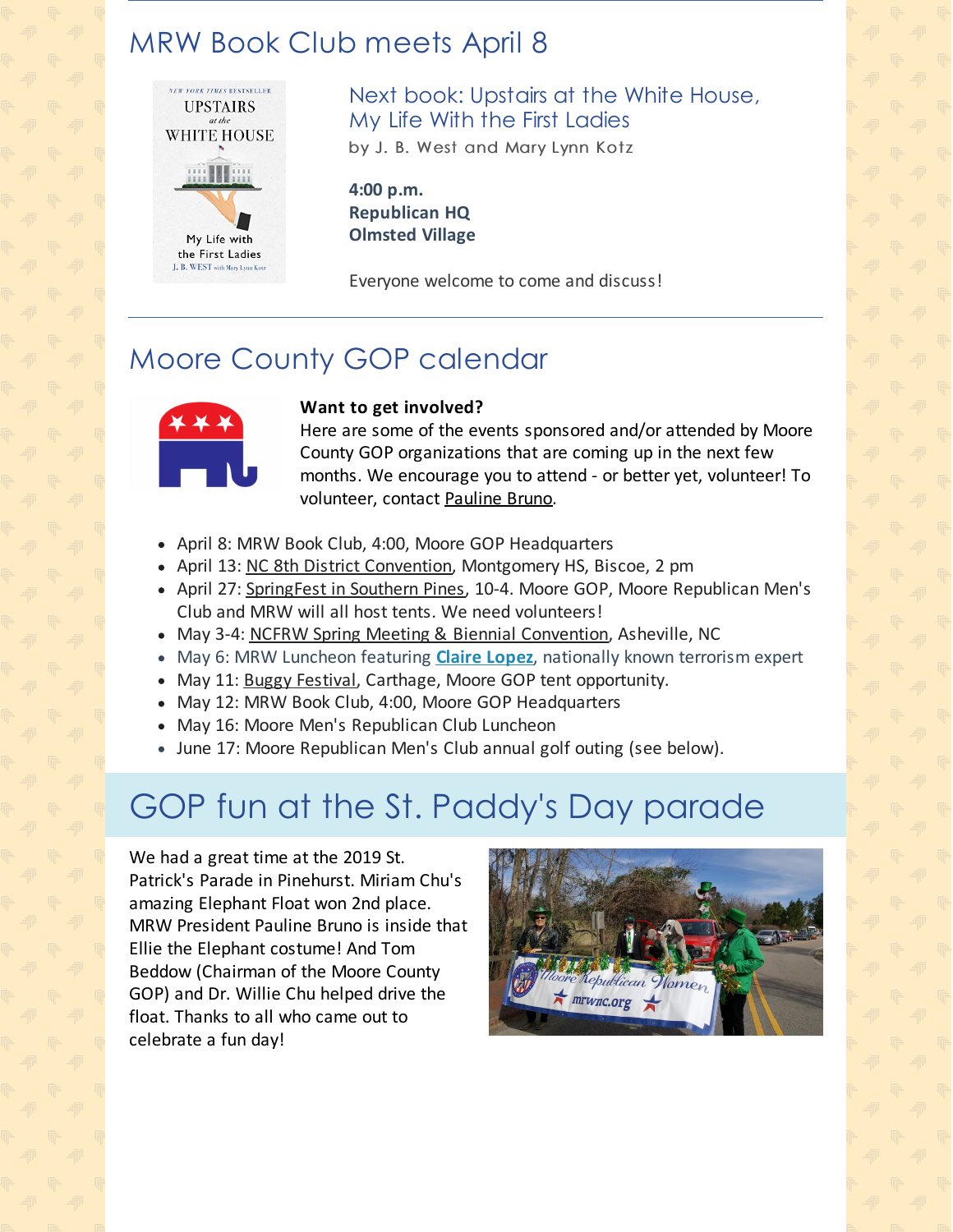## MRW Book Club meets April 8



Next book: Upstairs at the White House, My Life With the First Ladies by J. B. West and Mary Lynn Kotz

**4:00 p.m. Republican HQ Olmsted Village**

Everyone welcome to come and discuss!

## Moore County GOP calendar



#### **Want to get involved?**

Here are some of the events sponsored and/or attended by Moore County GOP organizations that are coming up in the next few months. We encourage you to attend - or better yet, volunteer! To volunteer, contact [Pauline](mailto:pbruno46@gmail.com) Bruno.

- April 8: MRW Book Club, 4:00, Moore GOP Headquarters
- April 13: NC 8th District [Convention](https://www.nc.gop/district_8_gop_convention), Montgomery HS, Biscoe, 2 pm
- April 27: [SpringFest](https://www.southernpines.biz/springfest) in Southern Pines, 10-4. Moore GOP, Moore Republican Men's Club and MRW will all host tents. We need volunteers!
- May 3-4: NCFRW Spring Meeting & Biennial [Convention](https://www.eventbrite.com/e/2019-ncfrw-spring-board-meeting-and-biennial-convention-tickets-57822311089), Asheville, NC
- May 6: MRW Luncheon featuring **Claire [Lopez](http://lopez.pundicity.com/about/)**, nationally known terrorism expert
- May 11: Buggy [Festival](https://www.ncfestivals.com/events/2019/carthage-buggy-festival), Carthage, Moore GOP tent opportunity.
- May 12: MRW Book Club, 4:00, Moore GOP Headquarters
- May 16: Moore Men's Republican Club Luncheon
- June 17: Moore Republican Men's Club annual golf outing (see below).

# GOP fun at the St. Paddy's Day parade

We had a great time at the 2019 St. Patrick's Parade in Pinehurst. Miriam Chu's amazing Elephant Float won 2nd place. MRW President Pauline Bruno is inside that Ellie the Elephant costume! And Tom Beddow (Chairman of the Moore County GOP) and Dr. Willie Chu helped drive the float. Thanks to all who came out to celebrate a fun day!